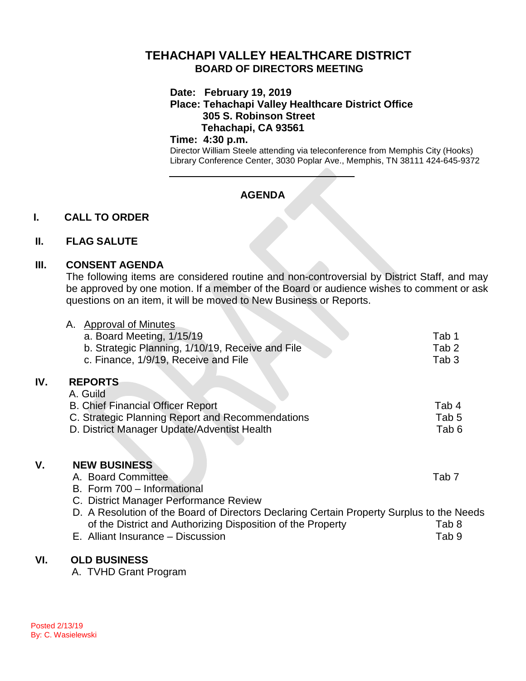# **TEHACHAPI VALLEY HEALTHCARE DISTRICT BOARD OF DIRECTORS MEETING**

#### **Date: February 19, 2019**

**Place: Tehachapi Valley Healthcare District Office 305 S. Robinson Street Tehachapi, CA 93561**

#### **Time: 4:30 p.m.**

Director William Steele attending via teleconference from Memphis City (Hooks) Library Conference Center, 3030 Poplar Ave., Memphis, TN 38111 424-645-9372

# **AGENDA**

## **I. CALL TO ORDER**

### **II. FLAG SALUTE**

### **III. CONSENT AGENDA**

The following items are considered routine and non-controversial by District Staff, and may be approved by one motion. If a member of the Board or audience wishes to comment or ask questions on an item, it will be moved to New Business or Reports.

|     | A. Approval of Minutes                                                                    |                  |
|-----|-------------------------------------------------------------------------------------------|------------------|
|     | a. Board Meeting, 1/15/19                                                                 | Tab 1            |
|     | b. Strategic Planning, 1/10/19, Receive and File                                          | Tab <sub>2</sub> |
|     | c. Finance, 1/9/19, Receive and File                                                      | Tab <sub>3</sub> |
| IV. | <b>REPORTS</b>                                                                            |                  |
|     | A. Guild                                                                                  |                  |
|     | <b>B. Chief Financial Officer Report</b>                                                  | Tab 4            |
|     | C. Strategic Planning Report and Recommendations                                          | Tab 5            |
|     | D. District Manager Update/Adventist Health                                               | Tab 6            |
|     |                                                                                           |                  |
| ۷.  | <b>NEW BUSINESS</b>                                                                       |                  |
|     | A. Board Committee                                                                        | Tab <sub>7</sub> |
|     | B. Form 700 - Informational                                                               |                  |
|     | C. District Manager Performance Review                                                    |                  |
|     | D. A Resolution of the Board of Directors Declaring Certain Property Surplus to the Needs |                  |
|     | of the District and Authorizing Disposition of the Property                               | Tab 8            |
|     | E. Alliant Insurance - Discussion                                                         | Tab 9            |
| VI. | <b>OLD BUSINESS</b>                                                                       |                  |
|     | A TILLID Cropt Drogram                                                                    |                  |

A. TVHD Grant Program

**IV.**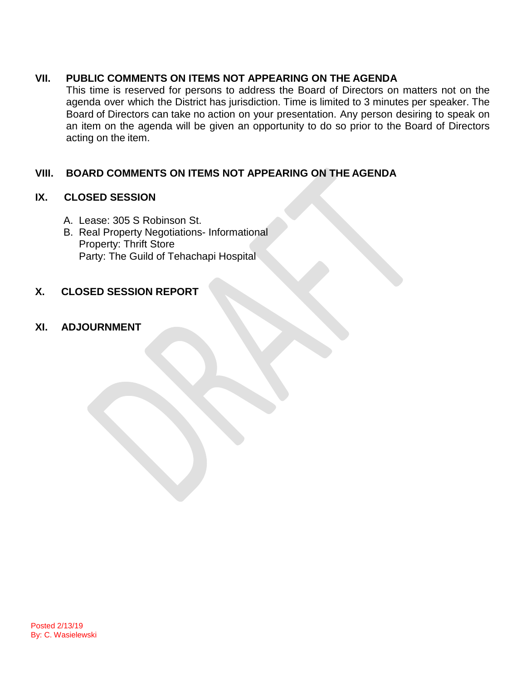## **VII. PUBLIC COMMENTS ON ITEMS NOT APPEARING ON THE AGENDA**

This time is reserved for persons to address the Board of Directors on matters not on the agenda over which the District has jurisdiction. Time is limited to 3 minutes per speaker. The Board of Directors can take no action on your presentation. Any person desiring to speak on an item on the agenda will be given an opportunity to do so prior to the Board of Directors acting on the item.

# **VIII. BOARD COMMENTS ON ITEMS NOT APPEARING ON THE AGENDA**

### **IX. CLOSED SESSION**

- A. Lease: 305 S Robinson St.
- B. Real Property Negotiations- Informational Property: Thrift Store Party: The Guild of Tehachapi Hospital

# **X. CLOSED SESSION REPORT**

## **XI. ADJOURNMENT**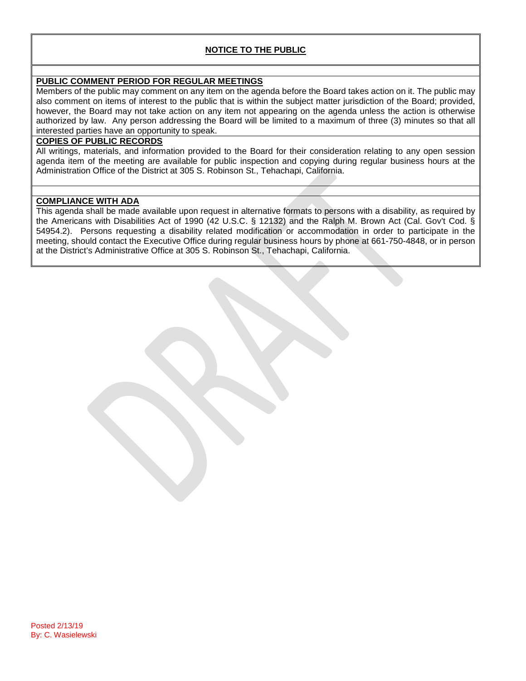#### **NOTICE TO THE PUBLIC**

#### **PUBLIC COMMENT PERIOD FOR REGULAR MEETINGS**

Members of the public may comment on any item on the agenda before the Board takes action on it. The public may also comment on items of interest to the public that is within the subject matter jurisdiction of the Board; provided, however, the Board may not take action on any item not appearing on the agenda unless the action is otherwise authorized by law. Any person addressing the Board will be limited to a maximum of three (3) minutes so that all interested parties have an opportunity to speak.

#### **COPIES OF PUBLIC RECORDS**

All writings, materials, and information provided to the Board for their consideration relating to any open session agenda item of the meeting are available for public inspection and copying during regular business hours at the Administration Office of the District at 305 S. Robinson St., Tehachapi, California.

#### **COMPLIANCE WITH ADA**

This agenda shall be made available upon request in alternative formats to persons with a disability, as required by the Americans with Disabilities Act of 1990 (42 U.S.C. § 12132) and the Ralph M. Brown Act (Cal. Gov't Cod. § 54954.2). Persons requesting a disability related modification or accommodation in order to participate in the meeting, should contact the Executive Office during regular business hours by phone at 661-750-4848, or in person at the District's Administrative Office at 305 S. Robinson St., Tehachapi, California.